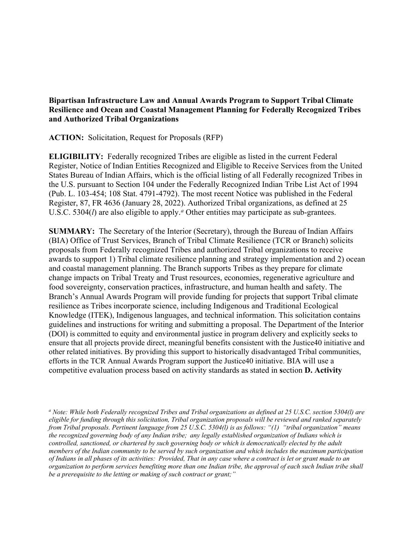## **Bipartisan Infrastructure Law and Annual Awards Program to Support Tribal Climate Resilience and Ocean and Coastal Management Planning for Federally Recognized Tribes and Authorized Tribal Organizations**

**ACTION:** Solicitation, Request for Proposals (RFP)

**ELIGIBILITY:** Federally recognized Tribes are eligible as listed in the current Federal Register, Notice of Indian Entities Recognized and Eligible to Receive Services from the United States Bureau of Indian Affairs, which is the official listing of all Federally recognized Tribes in the U.S. pursuant to Section 104 under the Federally Recognized Indian Tribe List Act of 1994 (Pub. L. 103-454; 108 Stat. 4791-4792). The most recent Notice was published in the Federal Register, 87, FR 4636 (January 28, 2022). Authorized Tribal organizations, as defined at 25 U.S.C. 5304(*l*) [a](#page-0-0)re also eligible to apply.<sup>*a*</sup> Other entities may participate as sub-grantees.

**SUMMARY:** The Secretary of the Interior (Secretary), through the Bureau of Indian Affairs (BIA) Office of Trust Services, Branch of Tribal Climate Resilience (TCR or Branch) solicits proposals from Federally recognized Tribes and authorized Tribal organizations to receive awards to support 1) Tribal climate resilience planning and strategy implementation and 2) ocean and coastal management planning. The Branch supports Tribes as they prepare for climate change impacts on Tribal Treaty and Trust resources, economies, regenerative agriculture and food sovereignty, conservation practices, infrastructure, and human health and safety. The Branch's Annual Awards Program will provide funding for projects that support Tribal climate resilience as Tribes incorporate science, including Indigenous and Traditional Ecological Knowledge (ITEK), Indigenous languages, and technical information. This solicitation contains guidelines and instructions for writing and submitting a proposal. The Department of the Interior (DOI) is committed to equity and environmental justice in program delivery and explicitly seeks to ensure that all projects provide direct, meaningful benefits consistent with the Justice40 initiative and other related initiatives. By providing this support to historically disadvantaged Tribal communities, efforts in the TCR Annual Awards Program support the Justice40 initiative. BIA will use a competitive evaluation process based on activity standards as stated in **s**ection **D. Activity** 

<span id="page-0-0"></span>*a Note: While both Federally recognized Tribes and Tribal organizations as defined at 25 U.S.C. section 5304(l) are eligible for funding through this solicitation, Tribal organization proposals will be reviewed and ranked separately from Tribal proposals. Pertinent language from 25 U.S.C. 5304(l) is as follows: "(1) "tribal organization" means the recognized governing body of any Indian tribe; any legally established organization of Indians which is controlled, sanctioned, or chartered by such governing body or which is democratically elected by the adult members of the Indian community to be served by such organization and which includes the maximum participation*  of Indians in all phases of its activities: Provided, That in any case where a contract is let or grant made to an *organization to perform services benefiting more than one Indian tribe, the approval of each such Indian tribe shall be a prerequisite to the letting or making of such contract or grant;"*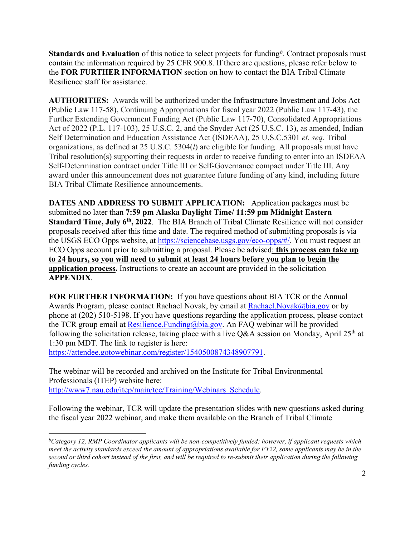**Standards and Evaluation** of this notice to select projects for funding*[b](#page-1-0) .* Contract proposals must contain the information required by 25 CFR 900.8. If there are questions, please refer below to the **FOR FURTHER INFORMATION** section on how to contact the BIA Tribal Climate Resilience staff for assistance.

 organizations, as defined at 25 U.S.C. 5304(*l*) are eligible for funding. All proposals must have **AUTHORITIES:** Awards will be authorized under the Infrastructure Investment and Jobs Act (Public Law 117-58), Continuing Appropriations for fiscal year 2022 (Public Law 117-43), the Further Extending Government Funding Act (Public Law 117-70), Consolidated Appropriations Act of 2022 (P.L. 117-103), 25 U.S.C. 2, and the Snyder Act (25 U.S.C. 13), as amended, Indian Self Determination and Education Assistance Act (ISDEAA), 25 U.S.C.5301 *et. seq.* Tribal Tribal resolution(s) supporting their requests in order to receive funding to enter into an ISDEAA Self-Determination contract under Title III or Self-Governance compact under Title III. Any award under this announcement does not guarantee future funding of any kind, including future BIA Tribal Climate Resilience announcements.

 **DATES AND ADDRESS TO SUBMIT APPLICATION:** Application packages must be **Standard Time, July 6th, 2022**. The BIA Branch of Tribal Climate Resilience will not consider proposals received after this time and date. The required method of submitting proposals is via submitted no later than **7:59 pm Alaska Daylight Time/ 11:59 pm Midnight Eastern**  the USGS ECO Opps website, at [https://sciencebase.usgs.gov/eco-opps/#/.](https://sciencebase.usgs.gov/eco-opps/#/) You must request an ECO Opps account prior to submitting a proposal. Please be advised: **this process can take up to 24 hours, so you will need to submit at least 24 hours before you plan to begin the application process.** Instructions to create an account are provided in the solicitation **APPENDIX**.

Awards Program, please contact Rachael Novak, by email at <u>Rachael.Novak@bia.gov</u> or by **FOR FURTHER INFORMATION:** If you have questions about BIA TCR or the Annual phone at (202) 510-5198. If you have questions regarding the application process, please contact the TCR group email at Resilience. Funding  $@$  bia.gov. An FAQ webinar will be provided following the solicitation release, taking place with a live Q&A session on Monday, April 25<sup>th</sup> at 1:30 pm MDT. The link to register is here:

[https://attendee.gotowebinar.com/register/1540500874348907791.](https://attendee.gotowebinar.com/register/1540500874348907791)

The webinar will be recorded and archived on the Institute for Tribal Environmental Professionals (ITEP) website here: [http://www7.nau.edu/itep/main/tcc/Training/Webinars\\_Schedule.](http://www7.nau.edu/itep/main/tcc/Training/Webinars_Schedule)

 the fiscal year 2022 webinar, and make them available on the Branch of Tribal Climate Following the webinar, TCR will update the presentation slides with new questions asked during

<span id="page-1-0"></span> *b Category 12, RMP Coordinator applicants will be non-competitively funded: however, if applicant requests which meet the activity standards exceed the amount of appropriations available for FY22, some applicants may be in the second or third cohort instead of the first, and will be required to re-submit their application during the following funding cycles.*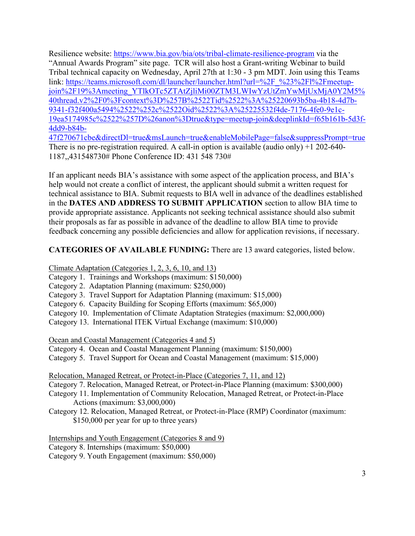Resilience website:<https://www.bia.gov/bia/ots/tribal-climate-resilience-program>via the Tribal technical capacity on Wednesday, April 27th at 1:30 - 3 pm MDT. Join using this Teams "Annual Awards Program" site page. TCR will also host a Grant-writing Webinar to build link:[https://teams.microsoft.com/dl/launcher/launcher.html?url=%2F\\_%23%2Fl%2Fmeetup](https://teams.microsoft.com/dl/launcher/launcher.html?url=%2F_%23%2Fl%2Fmeetup)[join%2F19%3Ameeting\\_YTlkOTc5ZTAtZjliMi00ZTM3LWIwYzUtZmYwMjUxMjA0Y2M5%](https://teams.microsoft.com/dl/launcher/launcher.html?url=%2F_%23%2Fl%2Fmeetup-join%2F19%3Ameeting_YTlkOTc5ZTAtZjliMi00ZTM3LWIwYzUtZmYwMjUxMjA0Y2M5%40thread.v2%2F0%3Fcontext%3D%257B%2522Tid%2522%3A%25220693b5ba-4b18-4d7b-9341-f32f400a5494%2522%252c%2522Oid%2522%3A%25225532f4de-7176-4fe0-9e1c-19ea5174985c%2522%257D%26anon%3Dtrue&type=meetup-join&deeplinkId=f65b161b-5d3f-4dd9-b84b-47f270671cbe&directDl=true&msLaunch=true&enableMobilePage=false&suppressPrompt=true)  [40thread.v2%2F0%3Fcontext%3D%257B%2522Tid%2522%3A%25220693b5ba-4b18-4d7b-](https://teams.microsoft.com/dl/launcher/launcher.html?url=%2F_%23%2Fl%2Fmeetup-join%2F19%3Ameeting_YTlkOTc5ZTAtZjliMi00ZTM3LWIwYzUtZmYwMjUxMjA0Y2M5%40thread.v2%2F0%3Fcontext%3D%257B%2522Tid%2522%3A%25220693b5ba-4b18-4d7b-9341-f32f400a5494%2522%252c%2522Oid%2522%3A%25225532f4de-7176-4fe0-9e1c-19ea5174985c%2522%257D%26anon%3Dtrue&type=meetup-join&deeplinkId=f65b161b-5d3f-4dd9-b84b-47f270671cbe&directDl=true&msLaunch=true&enableMobilePage=false&suppressPrompt=true)[9341-f32f400a5494%2522%252c%2522Oid%2522%3A%25225532f4de-7176-4fe0-9e1c-](https://teams.microsoft.com/dl/launcher/launcher.html?url=%2F_%23%2Fl%2Fmeetup-join%2F19%3Ameeting_YTlkOTc5ZTAtZjliMi00ZTM3LWIwYzUtZmYwMjUxMjA0Y2M5%40thread.v2%2F0%3Fcontext%3D%257B%2522Tid%2522%3A%25220693b5ba-4b18-4d7b-9341-f32f400a5494%2522%252c%2522Oid%2522%3A%25225532f4de-7176-4fe0-9e1c-19ea5174985c%2522%257D%26anon%3Dtrue&type=meetup-join&deeplinkId=f65b161b-5d3f-4dd9-b84b-47f270671cbe&directDl=true&msLaunch=true&enableMobilePage=false&suppressPrompt=true)[19ea5174985c%2522%257D%26anon%3Dtrue&type=meetup-join&deeplinkId=f65b161b-5d3f-](https://teams.microsoft.com/dl/launcher/launcher.html?url=%2F_%23%2Fl%2Fmeetup-join%2F19%3Ameeting_YTlkOTc5ZTAtZjliMi00ZTM3LWIwYzUtZmYwMjUxMjA0Y2M5%40thread.v2%2F0%3Fcontext%3D%257B%2522Tid%2522%3A%25220693b5ba-4b18-4d7b-9341-f32f400a5494%2522%252c%2522Oid%2522%3A%25225532f4de-7176-4fe0-9e1c-19ea5174985c%2522%257D%26anon%3Dtrue&type=meetup-join&deeplinkId=f65b161b-5d3f-4dd9-b84b-47f270671cbe&directDl=true&msLaunch=true&enableMobilePage=false&suppressPrompt=true)[4dd9-b84b-](https://teams.microsoft.com/dl/launcher/launcher.html?url=%2F_%23%2Fl%2Fmeetup-join%2F19%3Ameeting_YTlkOTc5ZTAtZjliMi00ZTM3LWIwYzUtZmYwMjUxMjA0Y2M5%40thread.v2%2F0%3Fcontext%3D%257B%2522Tid%2522%3A%25220693b5ba-4b18-4d7b-9341-f32f400a5494%2522%252c%2522Oid%2522%3A%25225532f4de-7176-4fe0-9e1c-19ea5174985c%2522%257D%26anon%3Dtrue&type=meetup-join&deeplinkId=f65b161b-5d3f-4dd9-b84b-47f270671cbe&directDl=true&msLaunch=true&enableMobilePage=false&suppressPrompt=true)[47f270671cbe&directDl=true&msLaunch=true&enableMobilePage=false&suppressPrompt=true](https://teams.microsoft.com/dl/launcher/launcher.html?url=%2F_%23%2Fl%2Fmeetup-join%2F19%3Ameeting_YTlkOTc5ZTAtZjliMi00ZTM3LWIwYzUtZmYwMjUxMjA0Y2M5%40thread.v2%2F0%3Fcontext%3D%257B%2522Tid%2522%3A%25220693b5ba-4b18-4d7b-9341-f32f400a5494%2522%252c%2522Oid%2522%3A%25225532f4de-7176-4fe0-9e1c-19ea5174985c%2522%257D%26anon%3Dtrue&type=meetup-join&deeplinkId=f65b161b-5d3f-4dd9-b84b-47f270671cbe&directDl=true&msLaunch=true&enableMobilePage=false&suppressPrompt=true) 

There is no pre-registration required. A call-in option is available (audio only) +1 202-640- 1187,,431548730# Phone Conference ID: 431 548 730#

 help would not create a conflict of interest, the applicant should submit a written request for in the **DATES AND ADDRESS TO SUBMIT APPLICATION** section to allow BIA time to their proposals as far as possible in advance of the deadline to allow BIA time to provide feedback concerning any possible deficiencies and allow for application revisions, if necessary. If an applicant needs BIA's assistance with some aspect of the application process, and BIA's technical assistance to BIA. Submit requests to BIA well in advance of the deadlines established provide appropriate assistance. Applicants not seeking technical assistance should also submit

## **CATEGORIES OF AVAILABLE FUNDING:** There are 13 award categories, listed below.

Climate Adaptation (Categories 1, 2, 3, 6, 10, and 13)

- Category 1. Trainings and Workshops (maximum: \$150,000)
- Category 2. Adaptation Planning (maximum: \$250,000)
- Category 3. Travel Support for Adaptation Planning (maximum: \$15,000)
- Category 6. Capacity Building for Scoping Efforts (maximum: \$65,000)
- Category 10. Implementation of Climate Adaptation Strategies (maximum: \$2,000,000)
- Category 13. International ITEK Virtual Exchange (maximum: \$10,000)

Ocean and Coastal Management (Categories 4 and 5)

Category 4. Ocean and Coastal Management Planning (maximum: \$150,000)

Category 5. Travel Support for Ocean and Coastal Management (maximum: \$15,000)

Relocation, Managed Retreat, or Protect-in-Place (Categories 7, 11, and 12)

- Category 7. Relocation, Managed Retreat, or Protect-in-Place Planning (maximum: \$300,000)
- Category 11. Implementation of Community Relocation, Managed Retreat, or Protect-in-Place Actions (maximum: \$3,000,000)
- Category 12. Relocation, Managed Retreat, or Protect-in-Place (RMP) Coordinator (maximum: \$150,000 per year for up to three years)

Internships and Youth Engagement (Categories 8 and 9) Category 8. Internships (maximum: \$50,000) Category 9. Youth Engagement (maximum: \$50,000)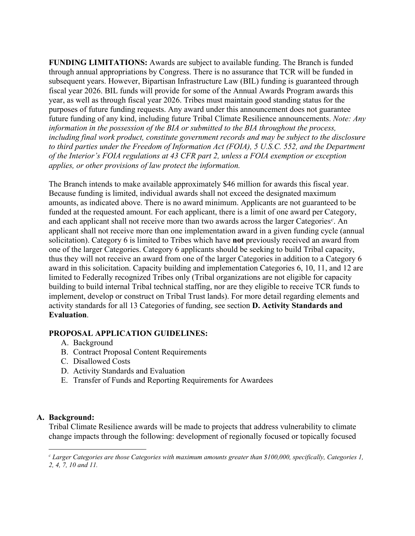year, as well as through fiscal year 2026. Tribes must maintain good standing status for the to third parties under the Freedom of Information Act (FOIA), 5 U.S.C. 552, and the Department **FUNDING LIMITATIONS:** Awards are subject to available funding. The Branch is funded through annual appropriations by Congress. There is no assurance that TCR will be funded in subsequent years. However, Bipartisan Infrastructure Law (BIL) funding is guaranteed through fiscal year 2026. BIL funds will provide for some of the Annual Awards Program awards this purposes of future funding requests. Any award under this announcement does not guarantee future funding of any kind, including future Tribal Climate Resilience announcements. *Note: Any information in the possession of the BIA or submitted to the BIA throughout the process, including final work product, constitute government records and may be subject to the disclosure of the Interior's FOIA regulations at 43 CFR part 2, unless a FOIA exemption or exception applies, or other provisions of law protect the information.* 

 The Branch intends to make available approximately \$46 million for awards this fiscal year. applicant shall not receive more than one implementation award in a given funding cycle (annual thus they will not receive an award from one of the larger Categories in addition to a Category 6 building to build internal Tribal technical staffing, nor are they eligible to receive TCR funds to implement, develop or construct on Tribal Trust lands). For more detail regarding elements and  activity standards for all 13 Categories of funding, see section **D. Activity Standards and**  Because funding is limited, individual awards shall not exceed the designated maximum amounts, as indicated above. There is no award minimum. Applicants are not guaranteed to be funded at the requested amount. For each applicant, there is a limit of one award per Category, and ea[c](#page-3-0)h applicant shall not receive more than two awards across the larger Categories<sup>c</sup>. An solicitation). Category 6 is limited to Tribes which have **not** previously received an award from one of the larger Categories. Category 6 applicants should be seeking to build Tribal capacity, award in this solicitation. Capacity building and implementation Categories 6, 10, 11, and 12 are limited to Federally recognized Tribes only (Tribal organizations are not eligible for capacity **Evaluation**.

#### **PROPOSAL APPLICATION GUIDELINES:**

- A. Background
- B. Contract Proposal Content Requirements
- C. Disallowed Costs
- D. Activity Standards and Evaluation
- E. Transfer of Funds and Reporting Requirements for Awardees

#### **A. Background:**

Tribal Climate Resilience awards will be made to projects that address vulnerability to climate change impacts through the following: development of regionally focused or topically focused

<span id="page-3-0"></span> *c Larger Categories are those Categories with maximum amounts greater than \$100,000, specifically, Categories 1, 2, 4, 7, 10 and 11.*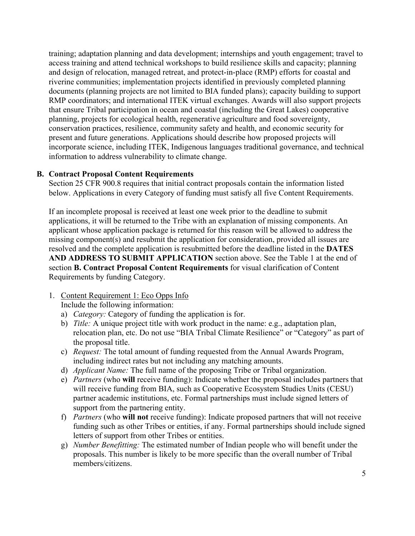information to address vulnerability to climate change. training; adaptation planning and data development; internships and youth engagement; travel to access training and attend technical workshops to build resilience skills and capacity; planning and design of relocation, managed retreat, and protect-in-place (RMP) efforts for coastal and riverine communities; implementation projects identified in previously completed planning documents (planning projects are not limited to BIA funded plans); capacity building to support RMP coordinators; and international ITEK virtual exchanges. Awards will also support projects that ensure Tribal participation in ocean and coastal (including the Great Lakes) cooperative planning, projects for ecological health, regenerative agriculture and food sovereignty, conservation practices, resilience, community safety and health, and economic security for present and future generations. Applications should describe how proposed projects will incorporate science, including ITEK, Indigenous languages traditional governance, and technical

#### **B. Contract Proposal Content Requirements**

Section 25 CFR 900.8 requires that initial contract proposals contain the information listed below. Applications in every Category of funding must satisfy all five Content Requirements.

 applications, it will be returned to the Tribe with an explanation of missing components. An **AND ADDRESS TO SUBMIT APPLICATION** section above. See the Table 1 at the end of If an incomplete proposal is received at least one week prior to the deadline to submit applicant whose application package is returned for this reason will be allowed to address the missing component(s) and resubmit the application for consideration, provided all issues are resolved and the complete application is resubmitted before the deadline listed in the **DATES**  section **B. Contract Proposal Content Requirements** for visual clarification of Content Requirements by funding Category.

#### 1. Content Requirement 1: Eco Opps Info

Include the following information:

- Include the following information:<br>a) *Category:* Category of funding the application is for.
- b) *Title:* A unique project title with work product in the name: e.g., adaptation plan, relocation plan, etc. Do not use "BIA Tribal Climate Resilience" or "Category" as part of the proposal title.
- c) *Request:* The total amount of funding requested from the Annual Awards Program, including indirect rates but not including any matching amounts.
- d) *Applicant Name:* The full name of the proposing Tribe or Tribal organization.
- e) *Partners* (who **will** receive funding): Indicate whether the proposal includes partners that will receive funding from BIA, such as Cooperative Ecosystem Studies Units (CESU) partner academic institutions, etc. Formal partnerships must include signed letters of support from the partnering entity.
- f) *Partners* (who **will not** receive funding): Indicate proposed partners that will not receive funding such as other Tribes or entities, if any. Formal partnerships should include signed letters of support from other Tribes or entities.
- g) *Number Benefitting:* The estimated number of Indian people who will benefit under the proposals. This number is likely to be more specific than the overall number of Tribal members/citizens.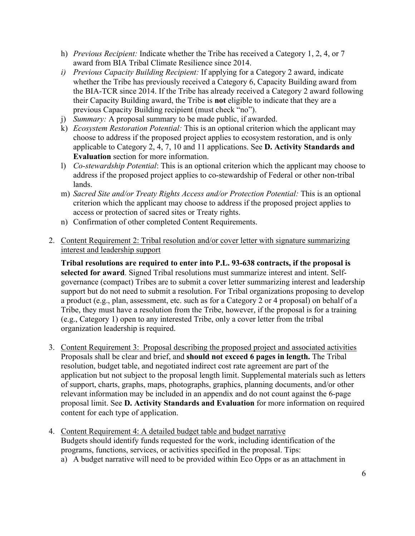- award from BIA Tribal Climate Resilience since 2014. h) *Previous Recipient:* Indicate whether the Tribe has received a Category 1, 2, 4, or 7
- their Capacity Building award, the Tribe is **not** eligible to indicate that they are a *i) Previous Capacity Building Recipient:* If applying for a Category 2 award, indicate whether the Tribe has previously received a Category 6, Capacity Building award from the BIA-TCR since 2014. If the Tribe has already received a Category 2 award following previous Capacity Building recipient (must check "no").
- j) *Summary:* A proposal summary to be made public, if awarded.
- k) *Ecosystem Restoration Potential:* This is an optional criterion which the applicant may choose to address if the proposed project applies to ecosystem restoration, and is only applicable to Category 2, 4, 7, 10 and 11 applications. See **D. Activity Standards and Evaluation** section for more information.
- l) *Co-stewardship Potential*: This is an optional criterion which the applicant may choose to address if the proposed project applies to co-stewardship of Federal or other non-tribal lands.
- m) *Sacred Site and/or Treaty Rights Access and/or Protection Potential: This is an optional* criterion which the applicant may choose to address if the proposed project applies to access or protection of sacred sites or Treaty rights.
- n) Confirmation of other completed Content Requirements.
- 2. Content Requirement 2: Tribal resolution and/or cover letter with signature summarizing interest and leadership support

 Tribe, they must have a resolution from the Tribe, however, if the proposal is for a training **Tribal resolutions are required to enter into P.L. 93-638 contracts, if the proposal is selected for award**. Signed Tribal resolutions must summarize interest and intent. Selfgovernance (compact) Tribes are to submit a cover letter summarizing interest and leadership support but do not need to submit a resolution. For Tribal organizations proposing to develop a product (e.g., plan, assessment, etc. such as for a Category 2 or 4 proposal) on behalf of a (e.g., Category 1) open to any interested Tribe, only a cover letter from the tribal organization leadership is required.

- 3. Content Requirement 3: Proposal describing the proposed project and associated activities resolution, budget table, and negotiated indirect cost rate agreement are part of the application but not subject to the proposal length limit. Supplemental materials such as letters content for each type of application. Proposals shall be clear and brief, and **should not exceed 6 pages in length.** The Tribal of support, charts, graphs, maps, photographs, graphics, planning documents, and/or other relevant information may be included in an appendix and do not count against the 6-page proposal limit. See **D. Activity Standards and Evaluation** for more information on required
- 4. Content Requirement 4: A detailed budget table and budget narrative Budgets should identify funds requested for the work, including identification of the programs, functions, services, or activities specified in the proposal. Tips:
	- a) A budget narrative will need to be provided within Eco Opps or as an attachment in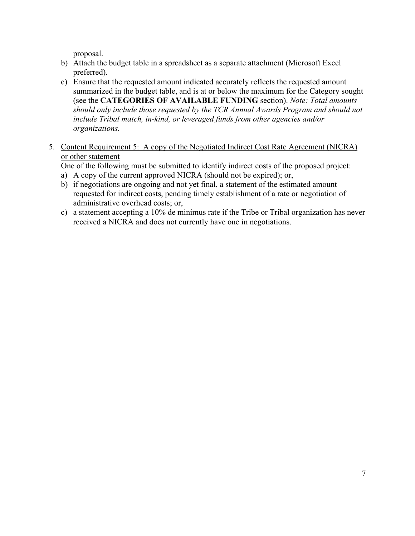proposal.

- b) Attach the budget table in a spreadsheet as a separate attachment (Microsoft Excel preferred).
- *should only include those requested by the TCR Annual Awards Program and should not*  c) Ensure that the requested amount indicated accurately reflects the requested amount summarized in the budget table, and is at or below the maximum for the Category sought (see the **CATEGORIES OF AVAILABLE FUNDING** section). *Note: Total amounts include Tribal match, in-kind, or leveraged funds from other agencies and/or organizations.*
- 5. Content Requirement 5: A copy of the Negotiated Indirect Cost Rate Agreement (NICRA) or other statement
	- One of the following must be submitted to identify indirect costs of the proposed project: a) A copy of the current approved NICRA (should not be expired); or,
	-
	- administrative overhead costs; or, b) if negotiations are ongoing and not yet final, a statement of the estimated amount requested for indirect costs, pending timely establishment of a rate or negotiation of
	- c) a statement accepting a 10% de minimus rate if the Tribe or Tribal organization has never received a NICRA and does not currently have one in negotiations.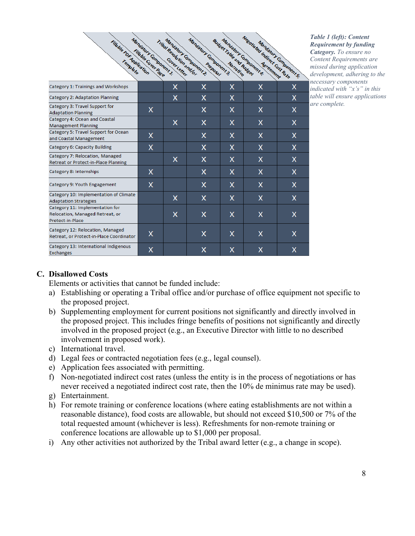| <b>Fillbudge PSE Application</b>                                                       | <b>Managery Ginbonent!</b><br>Fille ble Cover Page | Tribal Resultions in Line | Mandalon Campanent 3:<br>Mandary Component ? | Budget rate att Budget | Negotia ted Indian Test Cost Rate<br><b>Managery Component &amp;</b> | Manuel Londonents. |
|----------------------------------------------------------------------------------------|----------------------------------------------------|---------------------------|----------------------------------------------|------------------------|----------------------------------------------------------------------|--------------------|
| Category 1: Trainings and Workshops                                                    |                                                    | X                         | x                                            | X                      | x                                                                    | x                  |
| Category 2: Adaptation Planning                                                        |                                                    | x                         | x                                            | x                      | x                                                                    | x                  |
| Category 3: Travel Support for<br><b>Adaptation Planning</b>                           | X                                                  |                           | x                                            | x                      | x                                                                    | x                  |
| Category 4: Ocean and Coastal<br><b>Management Planning</b>                            |                                                    | x                         | х                                            | x                      | x                                                                    | х                  |
| Category 5: Travel Support for Ocean<br>and Coastal Management                         | x                                                  |                           | x                                            | x                      | x                                                                    | x                  |
| Category 6: Capacity Building                                                          | x                                                  |                           | x                                            | x                      | x                                                                    | x                  |
| Category 7: Relocation, Managed<br>Retreat or Protect-in-Place Planning                |                                                    | x                         | x                                            | x                      | x                                                                    | x                  |
| Category 8: Internships                                                                | X                                                  |                           | x                                            | x                      | x                                                                    | x                  |
| Category 9: Youth Engagement                                                           | X                                                  |                           | x                                            | x                      | x                                                                    | x                  |
| Category 10: Implementation of Climate<br><b>Adaptation Strategies</b>                 |                                                    | x                         | x                                            | x                      | X                                                                    | x                  |
| Category 11: Implementation for<br>Relocation, Managed Retreat, or<br>Protect-in-Place |                                                    | x                         | x                                            | x                      | x                                                                    | X                  |
| Category 12: Relocation, Managed<br>Retreat, or Protect-in-Place Coordinator           | x                                                  |                           | x                                            | x                      | x                                                                    | x                  |
| Category 13: International Indigenous<br><b>Exchanges</b>                              | X                                                  |                           | x                                            | x                      | X                                                                    | x                  |

*Table 1 (left): Content Requirement by funding Category. To ensure no Content Requirements are missed during application development, adhering to the necessary components indicated with "x's" in this table will ensure applications are complete.* 

#### **C. Disallowed Costs**

Elements or activities that cannot be funded include:

- a) Establishing or operating a Tribal office and/or purchase of office equipment not specific to the proposed project.
- b) Supplementing employment for current positions not significantly and directly involved in the proposed project. This includes fringe benefits of positions not significantly and directly involved in the proposed project (e.g., an Executive Director with little to no described involvement in proposed work).
- c) International travel.
- d) Legal fees or contracted negotiation fees (e.g., legal counsel).
- e) Application fees associated with permitting.
- never received a negotiated indirect cost rate, then the 10% de minimus rate may be used). f) Non-negotiated indirect cost rates (unless the entity is in the process of negotiations or has
- g) Entertainment.
- conference locations are allowable up to \$1,000 per proposal. h) For remote training or conference locations (where eating establishments are not within a reasonable distance), food costs are allowable, but should not exceed \$10,500 or 7% of the total requested amount (whichever is less). Refreshments for non-remote training or
- i) Any other activities not authorized by the Tribal award letter (e.g., a change in scope).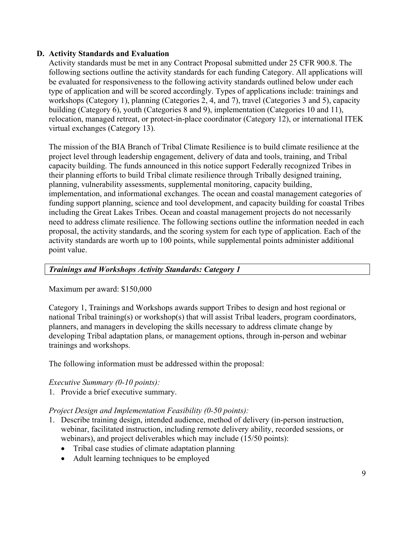## **D. Activity Standards and Evaluation**

 Activity standards must be met in any Contract Proposal submitted under 25 CFR 900.8. The type of application and will be scored accordingly. Types of applications include: trainings and relocation, managed retreat, or protect-in-place coordinator (Category 12), or international ITEK following sections outline the activity standards for each funding Category. All applications will be evaluated for responsiveness to the following activity standards outlined below under each workshops (Category 1), planning (Categories 2, 4, and 7), travel (Categories 3 and 5), capacity building (Category 6), youth (Categories 8 and 9), implementation (Categories 10 and 11), virtual exchanges (Category 13).

The mission of the BIA Branch of Tribal Climate Resilience is to build climate resilience at the project level through leadership engagement, delivery of data and tools, training, and Tribal capacity building. The funds announced in this notice support Federally recognized Tribes in their planning efforts to build Tribal climate resilience through Tribally designed training, planning, vulnerability assessments, supplemental monitoring, capacity building, implementation, and informational exchanges. The ocean and coastal management categories of funding support planning, science and tool development, and capacity building for coastal Tribes including the Great Lakes Tribes. Ocean and coastal management projects do not necessarily need to address climate resilience. The following sections outline the information needed in each proposal, the activity standards, and the scoring system for each type of application. Each of the activity standards are worth up to 100 points, while supplemental points administer additional point value.

## *Trainings and Workshops Activity Standards: Category 1*

#### Maximum per award: \$150,000

Category 1, Trainings and Workshops awards support Tribes to design and host regional or national Tribal training(s) or workshop(s) that will assist Tribal leaders, program coordinators, planners, and managers in developing the skills necessary to address climate change by developing Tribal adaptation plans, or management options, through in-person and webinar trainings and workshops.

The following information must be addressed within the proposal:

#### *Executive Summary (0-10 points):*

1. Provide a brief executive summary.

#### *Project Design and Implementation Feasibility (0-50 points):*

- 1. Describe training design, intended audience, method of delivery (in-person instruction, webinar, facilitated instruction, including remote delivery ability, recorded sessions, or webinars), and project deliverables which may include (15/50 points):
	- Tribal case studies of climate adaptation planning
	- Adult learning techniques to be employed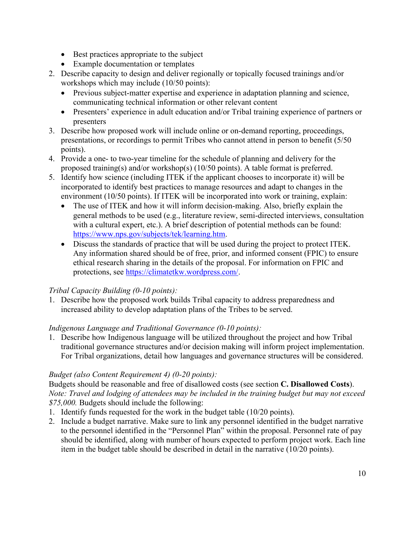- Best practices appropriate to the subject
- Example documentation or templates
- 2. Describe capacity to design and deliver regionally or topically focused trainings and/or workshops which may include (10/50 points):
	- Previous subject-matter expertise and experience in adaptation planning and science, communicating technical information or other relevant content
	- Presenters' experience in adult education and/or Tribal training experience of partners or presenters
- 3. Describe how proposed work will include online or on-demand reporting, proceedings, presentations, or recordings to permit Tribes who cannot attend in person to benefit (5/50 points).
- 4. Provide a one- to two-year timeline for the schedule of planning and delivery for the proposed training(s) and/or workshop(s) (10/50 points). A table format is preferred.
- 5. Identify how science (including ITEK if the applicant chooses to incorporate it) will be incorporated to identify best practices to manage resources and adapt to changes in the environment (10/50 points). If ITEK will be incorporated into work or training, explain:
	- • The use of ITEK and how it will inform decision-making. Also, briefly explain the general methods to be used (e.g., literature review, semi-directed interviews, consultation with a cultural expert, etc.). A brief description of potential methods can be found: [https://www.nps.gov/subjects/tek/learning.htm.](https://www.nps.gov/subjects/tek/learning.htm)
	- Discuss the standards of practice that will be used during the project to protect ITEK. Any information shared should be of free, prior, and informed consent (FPIC) to ensure ethical research sharing in the details of the proposal. For information on FPIC and protections, see [https://climatetkw.wordpress.com/.](https://climatetkw.wordpress.com/)

# *Tribal Capacity Building (0-10 points):*

1. Describe how the proposed work builds Tribal capacity to address preparedness and increased ability to develop adaptation plans of the Tribes to be served.

# *Indigenous Language and Traditional Governance (0-10 points):*

1. Describe how Indigenous language will be utilized throughout the project and how Tribal traditional governance structures and/or decision making will inform project implementation. For Tribal organizations, detail how languages and governance structures will be considered.

# *Budget (also Content Requirement 4) (0-20 points):*

 *Note: Travel and lodging of attendees may be included in the training budget but may not exceed \$75,000.* Budgets should include the following: Budgets should be reasonable and free of disallowed costs (see section **C. Disallowed Costs**).

- 1. Identify funds requested for the work in the budget table (10/20 points).
- to the personnel identified in the "Personnel Plan" within the proposal. Personnel rate of pay 2. Include a budget narrative. Make sure to link any personnel identified in the budget narrative should be identified, along with number of hours expected to perform project work. Each line item in the budget table should be described in detail in the narrative (10/20 points).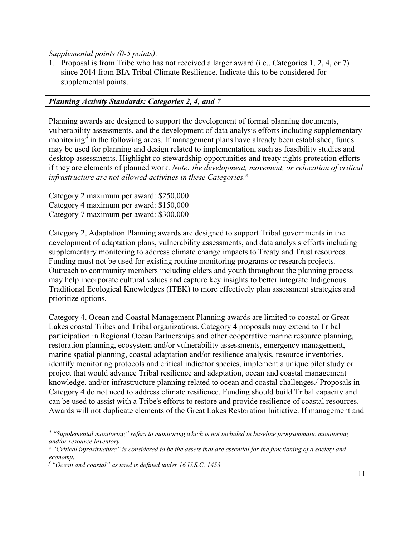*Supplemental points (0-5 points):* 

1. Proposal is from Tribe who has not received a larger award (i.e., Categories 1, 2, 4, or 7) since 2014 from BIA Tribal Climate Resilience. Indicate this to be considered for supplemental points.

## *Planning Activity Standards: Categories 2, 4, and 7*

 monitoring*[d](#page-10-0)* in the following areas. If management plans have already been established, funds  if they are elements of planned work. *Note: the development, movement, or relocation of critical infrastructure are not allowed activities in these Categories. [e](#page-10-1)*  Planning awards are designed to support the development of formal planning documents, vulnerability assessments, and the development of data analysis efforts including supplementary may be used for planning and design related to implementation, such as feasibility studies and desktop assessments. Highlight co-stewardship opportunities and treaty rights protection efforts

Category 2 maximum per award: \$250,000 Category 4 maximum per award: \$150,000 Category 7 maximum per award: \$300,000

 development of adaptation plans, vulnerability assessments, and data analysis efforts including supplementary monitoring to address climate change impacts to Treaty and Trust resources. Outreach to community members including elders and youth throughout the planning process Traditional Ecological Knowledges (ITEK) to more effectively plan assessment strategies and prioritize options. Category 2, Adaptation Planning awards are designed to support Tribal governments in the Funding must not be used for existing routine monitoring programs or research projects. may help incorporate cultural values and capture key insights to better integrate Indigenous

 Lakes coastal Tribes and Tribal organizations. Category 4 proposals may extend to Tribal marine spatial planning, coastal adaptation and/or resilience analysis, resource inventories, identify monitoring protocols and critical indicator species, implement a unique pilot study or can be used to assist with a Tribe's efforts to restore and provide resilience of coastal resources. Category 4, Ocean and Coastal Management Planning awards are limited to coastal or Great participation in Regional Ocean Partnerships and other cooperative marine resource planning, restoration planning, ecosystem and/or vulnerability assessments, emergency management, project that would advance Tribal resilience and adaptation, ocean and coastal management knowledge, and/or infrastructure planning related to ocean and coastal challenges.*[f](#page-10-2)* Proposals in Category 4 do not need to address climate resilience. Funding should build Tribal capacity and Awards will not duplicate elements of the Great Lakes Restoration Initiative. If management and

<span id="page-10-0"></span><sup>&</sup>lt;sup>d</sup> "Supplemental monitoring" refers to monitoring which is not included in baseline programmatic monitoring  *and/or resource inventory.* 

<span id="page-10-1"></span><sup>&</sup>lt;sup>e</sup> "Critical infrastructure" is considered to be the assets that are essential for the functioning of a society and *economy.* 

<span id="page-10-2"></span> *f "Ocean and coastal" as used is defined under 16 U.S.C. 1453.*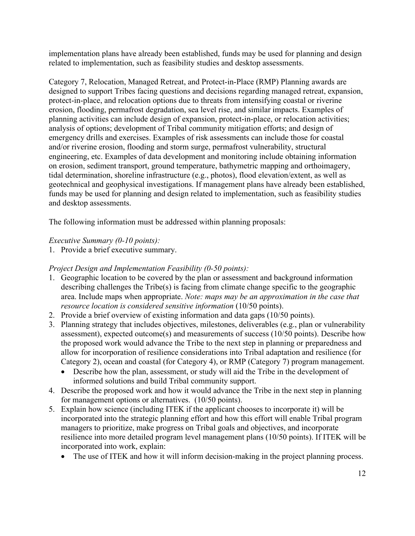implementation plans have already been established, funds may be used for planning and design related to implementation, such as feasibility studies and desktop assessments.

 designed to support Tribes facing questions and decisions regarding managed retreat, expansion, and desktop assessments. Category 7, Relocation, Managed Retreat, and Protect-in-Place (RMP) Planning awards are protect-in-place, and relocation options due to threats from intensifying coastal or riverine erosion, flooding, permafrost degradation, sea level rise, and similar impacts. Examples of planning activities can include design of expansion, protect-in-place, or relocation activities; analysis of options; development of Tribal community mitigation efforts; and design of emergency drills and exercises. Examples of risk assessments can include those for coastal and/or riverine erosion, flooding and storm surge, permafrost vulnerability, structural engineering, etc. Examples of data development and monitoring include obtaining information on erosion, sediment transport, ground temperature, bathymetric mapping and orthoimagery, tidal determination, shoreline infrastructure (e.g., photos), flood elevation/extent, as well as geotechnical and geophysical investigations. If management plans have already been established, funds may be used for planning and design related to implementation, such as feasibility studies

The following information must be addressed within planning proposals:

# *Executive Summary (0-10 points):*

1. Provide a brief executive summary.

# *Project Design and Implementation Feasibility (0-50 points):*

- 1. Geographic location to be covered by the plan or assessment and background information describing challenges the Tribe(s) is facing from climate change specific to the geographic area. Include maps when appropriate. *Note: maps may be an approximation in the case that resource location is considered sensitive information* (10/50 points).
- 2. Provide a brief overview of existing information and data gaps (10/50 points).
- 3. Planning strategy that includes objectives, milestones, deliverables (e.g., plan or vulnerability assessment), expected outcome(s) and measurements of success (10/50 points). Describe how the proposed work would advance the Tribe to the next step in planning or preparedness and allow for incorporation of resilience considerations into Tribal adaptation and resilience (for Category 2), ocean and coastal (for Category 4), or RMP (Category 7) program management.
	- informed solutions and build Tribal community support. • Describe how the plan, assessment, or study will aid the Tribe in the development of
- 4. Describe the proposed work and how it would advance the Tribe in the next step in planning for management options or alternatives. (10/50 points).
- 5. Explain how science (including ITEK if the applicant chooses to incorporate it) will be incorporated into the strategic planning effort and how this effort will enable Tribal program managers to prioritize, make progress on Tribal goals and objectives, and incorporate resilience into more detailed program level management plans (10/50 points). If ITEK will be incorporated into work, explain:
	- The use of ITEK and how it will inform decision-making in the project planning process.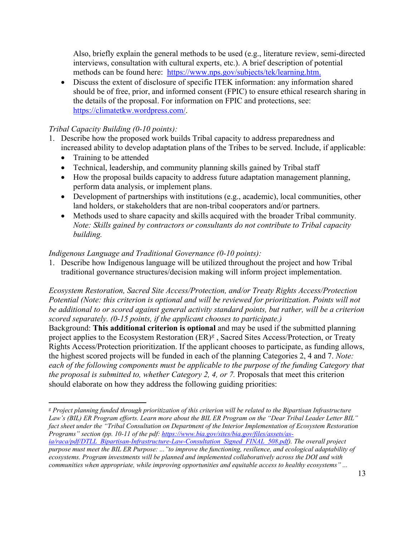methods can be found here: [https://www.nps.gov/subjects/tek/learning.htm.](https://www.nps.gov/subjects/tek/learning.htm) Also, briefly explain the general methods to be used (e.g., literature review, semi-directed interviews, consultation with cultural experts, etc.). A brief description of potential

• Discuss the extent of disclosure of specific ITEK information: any information shared should be of free, prior, and informed consent (FPIC) to ensure ethical research sharing in the details of the proposal. For information on FPIC and protections, see: [https://climatetkw.wordpress.com/.](https://climatetkw.wordpress.com/)

## *Tribal Capacity Building (0-10 points):*

- increased ability to develop adaptation plans of the Tribes to be served. Include, if applicable: 1. Describe how the proposed work builds Tribal capacity to address preparedness and
	- Training to be attended
	- Technical, leadership, and community planning skills gained by Tribal staff
	- How the proposal builds capacity to address future adaptation management planning, perform data analysis, or implement plans.
	- • Development of partnerships with institutions (e.g., academic), local communities, other land holders, or stakeholders that are non-tribal cooperators and/or partners.
	- Methods used to share capacity and skills acquired with the broader Tribal community*. Note: Skills gained by contractors or consultants do not contribute to Tribal capacity building.*

## *Indigenous Language and Traditional Governance (0-10 points):*

1. Describe how Indigenous language will be utilized throughout the project and how Tribal traditional governance structures/decision making will inform project implementation.

*Ecosystem Restoration, Sacred Site Access/Protection, and/or Treaty Rights Access/Protection Potential (Note: this criterion is optional and will be reviewed for prioritization. Points will not be additional to or scored against general activity standard points, but rather, will be a criterion scored separately. (0-15 points, if the applicant chooses to participate.)* 

 project applies to the Ecosystem Restoration (ER)*[g](#page-12-0)* , Sacred Sites Access/Protection, or Treaty each of the following components must be applicable to the purpose of the funding Category that should elaborate on how they address the following guiding priorities: Background: **This additional criterion is optional** and may be used if the submitted planning Rights Access/Protection prioritization. If the applicant chooses to participate, as funding allows, the highest scored projects will be funded in each of the planning Categories 2, 4 and 7. *Note: the proposal is submitted to, whether Category 2, 4, or 7. Proposals that meet this criterion* 

<span id="page-12-0"></span> *g Project planning funded through prioritization of this criterion will be related to the Bipartisan Infrastructure Law's (BIL) ER Program efforts. Learn more about the BIL ER Program on the "Dear Tribal Leader Letter BIL" fact sheet under the "Tribal Consultation on Department of the Interior Implementation of Ecosystem Restoration Programs" section (pp. 10-11 of the pdf[: https://www.bia.gov/sites/bia.gov/files/assets/as-](https://www.bia.gov/sites/bia.gov/files/assets/as-ia/raca/pdf/DTLL_Bipartisan-Infrastructure-Law-Consultation_Signed_FINAL_508.pdf) [ia/raca/pdf/DTLL\\_Bipartisan-Infrastructure-Law-Consultation\\_Signed\\_FINAL\\_508.pdf\)](https://www.bia.gov/sites/bia.gov/files/assets/as-ia/raca/pdf/DTLL_Bipartisan-Infrastructure-Law-Consultation_Signed_FINAL_508.pdf). The overall project* 

 *purpose must meet the BIL ER Purpose: ..."to improve the functioning, resilience, and ecological adaptability of ecosystems. Program investments will be planned and implemented collaboratively across the DOI and with communities when appropriate, while improving opportunities and equitable access to healthy ecosystems" ...*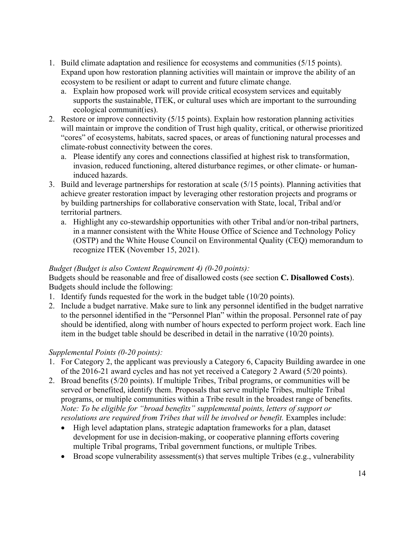- 1. Build climate adaptation and resilience for ecosystems and communities (5/15 points). Expand upon how restoration planning activities will maintain or improve the ability of an ecosystem to be resilient or adapt to current and future climate change.
	- supports the sustainable, ITEK, or cultural uses which are important to the surrounding a. Explain how proposed work will provide critical ecosystem services and equitably ecological communit(ies).
- 2. Restore or improve connectivity (5/15 points). Explain how restoration planning activities will maintain or improve the condition of Trust high quality, critical, or otherwise prioritized "cores" of ecosystems, habitats, sacred spaces, or areas of functioning natural processes and climate-robust connectivity between the cores.
	- a. Please identify any cores and connections classified at highest risk to transformation, invasion, reduced functioning, altered disturbance regimes, or other climate- or humaninduced hazards.
- 3. Build and leverage partnerships for restoration at scale (5/15 points). Planning activities that by building partnerships for collaborative conservation with State, local, Tribal and/or achieve greater restoration impact by leveraging other restoration projects and programs or territorial partners.
	- a. Highlight any co-stewardship opportunities with other Tribal and/or non-tribal partners, in a manner consistent with the White House Office of Science and Technology Policy (OSTP) and the White House Council on Environmental Quality (CEQ) memorandum to recognize ITEK (November 15, 2021).

## *Budget (Budget is also Content Requirement 4) (0-20 points):*

Budgets should be reasonable and free of disallowed costs (see section **C. Disallowed Costs**). Budgets should include the following:

- 1. Identify funds requested for the work in the budget table (10/20 points).
- 2. Include a budget narrative. Make sure to link any personnel identified in the budget narrative to the personnel identified in the "Personnel Plan" within the proposal. Personnel rate of pay should be identified, along with number of hours expected to perform project work. Each line item in the budget table should be described in detail in the narrative (10/20 points).

## *Supplemental Points (0-20 points):*

- of the 2016-21 award cycles and has not yet received a Category 2 Award (5/20 points). 1. For Category 2, the applicant was previously a Category 6, Capacity Building awardee in one
- programs, or multiple communities within a Tribe result in the broadest range of benefits. resolutions are required from Tribes that will be involved or benefit. Examples include: 2. Broad benefits (5/20 points). If multiple Tribes, Tribal programs, or communities will be served or benefited, identify them. Proposals that serve multiple Tribes, multiple Tribal *Note: To be eligible for "broad benefits" supplemental points, letters of support or* 
	- High level adaptation plans, strategic adaptation frameworks for a plan, dataset development for use in decision-making, or cooperative planning efforts covering multiple Tribal programs, Tribal government functions, or multiple Tribes.
	- Broad scope vulnerability assessment(s) that serves multiple Tribes (e.g., vulnerability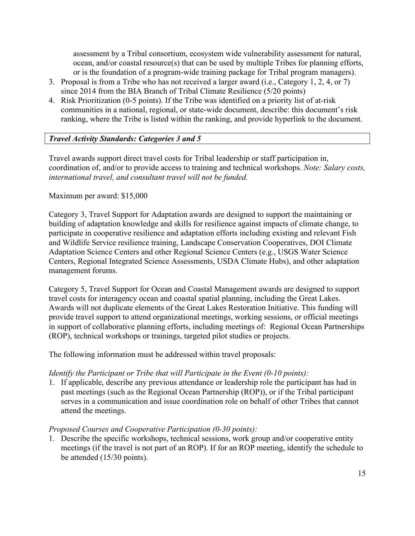assessment by a Tribal consortium, ecosystem wide vulnerability assessment for natural, ocean, and/or coastal resource(s) that can be used by multiple Tribes for planning efforts, or is the foundation of a program-wide training package for Tribal program managers).

- 3. Proposal is from a Tribe who has not received a larger award (i.e., Category 1, 2, 4, or 7) since 2014 from the BIA Branch of Tribal Climate Resilience (5/20 points)
- 4. Risk Prioritization (0-5 points). If the Tribe was identified on a priority list of at-risk communities in a national, regional, or state-wide document, describe: this document's risk ranking, where the Tribe is listed within the ranking, and provide hyperlink to the document.

## *Travel Activity Standards: Categories 3 and 5*

 Travel awards support direct travel costs for Tribal leadership or staff participation in, coordination of, and/or to provide access to training and technical workshops. *Note: Salary costs, international travel, and consultant travel will not be funded.* 

#### Maximum per award: \$15,000

Category 3, Travel Support for Adaptation awards are designed to support the maintaining or building of adaptation knowledge and skills for resilience against impacts of climate change, to participate in cooperative resilience and adaptation efforts including existing and relevant Fish and Wildlife Service resilience training, Landscape Conservation Cooperatives, DOI Climate Adaptation Science Centers and other Regional Science Centers (e.g., USGS Water Science Centers, Regional Integrated Science Assessments, USDA Climate Hubs), and other adaptation management forums.

 provide travel support to attend organizational meetings, working sessions, or official meetings Category 5, Travel Support for Ocean and Coastal Management awards are designed to support travel costs for interagency ocean and coastal spatial planning, including the Great Lakes. Awards will not duplicate elements of the Great Lakes Restoration Initiative. This funding will in support of collaborative planning efforts, including meetings of: Regional Ocean Partnerships (ROP), technical workshops or trainings, targeted pilot studies or projects.

The following information must be addressed within travel proposals:

## *Identify the Participant or Tribe that will Participate in the Event (0-10 points):*

1. If applicable, describe any previous attendance or leadership role the participant has had in past meetings (such as the Regional Ocean Partnership (ROP)), or if the Tribal participant serves in a communication and issue coordination role on behalf of other Tribes that cannot attend the meetings.

#### *Proposed Courses and Cooperative Participation (0-30 points):*

1. Describe the specific workshops, technical sessions, work group and/or cooperative entity meetings (if the travel is not part of an ROP). If for an ROP meeting, identify the schedule to be attended (15/30 points).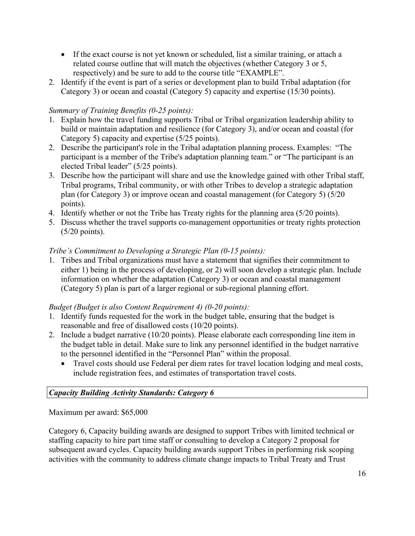- • If the exact course is not yet known or scheduled, list a similar training, or attach a related course outline that will match the objectives (whether Category 3 or 5, respectively) and be sure to add to the course title "EXAMPLE".
- 2. Identify if the event is part of a series or development plan to build Tribal adaptation (for Category 3) or ocean and coastal (Category 5) capacity and expertise (15/30 points).

# *Summary of Training Benefits (0-25 points):*

- 1. Explain how the travel funding supports Tribal or Tribal organization leadership ability to build or maintain adaptation and resilience (for Category 3), and/or ocean and coastal (for Category 5) capacity and expertise (5/25 points).
- 2. Describe the participant's role in the Tribal adaptation planning process. Examples: "The participant is a member of the Tribe's adaptation planning team." or "The participant is an elected Tribal leader" (5/25 points).
- 3. Describe how the participant will share and use the knowledge gained with other Tribal staff, Tribal programs, Tribal community, or with other Tribes to develop a strategic adaptation plan (for Category 3) or improve ocean and coastal management (for Category 5) (5/20 points).
- 4. Identify whether or not the Tribe has Treaty rights for the planning area (5/20 points).
- 5. Discuss whether the travel supports co-management opportunities or treaty rights protection (5/20 points).

## *Tribe's Commitment to Developing a Strategic Plan (0-15 points):*

1. Tribes and Tribal organizations must have a statement that signifies their commitment to either 1) being in the process of developing, or 2) will soon develop a strategic plan. Include information on whether the adaptation (Category 3) or ocean and coastal management (Category 5) plan is part of a larger regional or sub-regional planning effort.

## *Budget (Budget is also Content Requirement 4) (0-20 points):*

- 1. Identify funds requested for the work in the budget table, ensuring that the budget is reasonable and free of disallowed costs (10/20 points).
- 2. Include a budget narrative (10/20 points). Please elaborate each corresponding line item in the budget table in detail. Make sure to link any personnel identified in the budget narrative to the personnel identified in the "Personnel Plan" within the proposal.
	- • Travel costs should use Federal per diem rates for travel location lodging and meal costs, include registration fees, and estimates of transportation travel costs.

# *Capacity Building Activity Standards: Category 6*

Maximum per award: \$65,000

 staffing capacity to hire part time staff or consulting to develop a Category 2 proposal for Category 6, Capacity building awards are designed to support Tribes with limited technical or subsequent award cycles. Capacity building awards support Tribes in performing risk scoping activities with the community to address climate change impacts to Tribal Treaty and Trust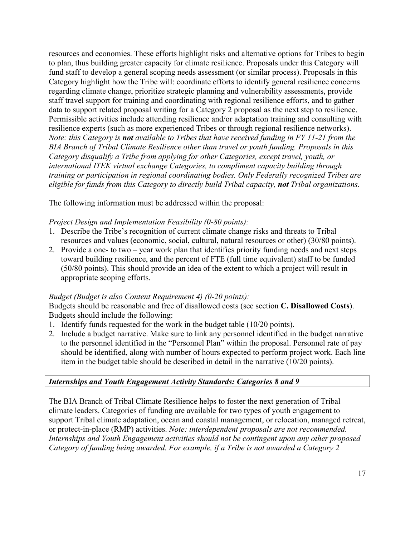to plan, thus building greater capacity for climate resilience. Proposals under this Category will  *Note: this Category is not available to Tribes that have received funding in FY 11-21 from the*  resources and economies. These efforts highlight risks and alternative options for Tribes to begin fund staff to develop a general scoping needs assessment (or similar process). Proposals in this Category highlight how the Tribe will: coordinate efforts to identify general resilience concerns regarding climate change, prioritize strategic planning and vulnerability assessments, provide staff travel support for training and coordinating with regional resilience efforts, and to gather data to support related proposal writing for a Category 2 proposal as the next step to resilience. Permissible activities include attending resilience and/or adaptation training and consulting with resilience experts (such as more experienced Tribes or through regional resilience networks). *BIA Branch of Tribal Climate Resilience other than travel or youth funding. Proposals in this Category disqualify a Tribe from applying for other Categories, except travel, youth, or international ITEK virtual exchange Categories, to compliment capacity building through training or participation in regional coordinating bodies. Only Federally recognized Tribes are eligible for funds from this Category to directly build Tribal capacity, not Tribal organizations.* 

The following information must be addressed within the proposal:

## *Project Design and Implementation Feasibility (0-80 points):*

- 1. Describe the Tribe's recognition of current climate change risks and threats to Tribal resources and values (economic, social, cultural, natural resources or other) (30/80 points).
- 2. Provide a one- to two year work plan that identifies priority funding needs and next steps toward building resilience, and the percent of FTE (full time equivalent) staff to be funded (50/80 points). This should provide an idea of the extent to which a project will result in appropriate scoping efforts.

## *Budget (Budget is also Content Requirement 4) (0-20 points):*

Budgets should be reasonable and free of disallowed costs (see section **C. Disallowed Costs**). Budgets should include the following:

- 1. Identify funds requested for the work in the budget table (10/20 points).
- 2. Include a budget narrative. Make sure to link any personnel identified in the budget narrative to the personnel identified in the "Personnel Plan" within the proposal. Personnel rate of pay should be identified, along with number of hours expected to perform project work. Each line item in the budget table should be described in detail in the narrative (10/20 points).

## *Internships and Youth Engagement Activity Standards: Categories 8 and 9*

 support Tribal climate adaptation, ocean and coastal management, or relocation, managed retreat, The BIA Branch of Tribal Climate Resilience helps to foster the next generation of Tribal climate leaders. Categories of funding are available for two types of youth engagement to or protect-in-place (RMP) activities. *Note: interdependent proposals are not recommended. Internships and Youth Engagement activities should not be contingent upon any other proposed Category of funding being awarded. For example, if a Tribe is not awarded a Category 2*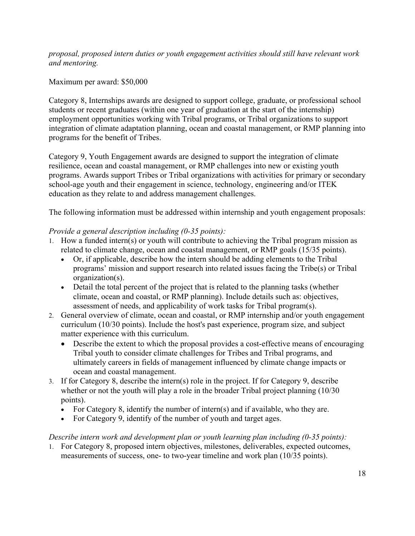*proposal, proposed intern duties or youth engagement activities should still have relevant work and mentoring.* 

## Maximum per award: \$50,000

Category 8, Internships awards are designed to support college, graduate, or professional school students or recent graduates (within one year of graduation at the start of the internship) employment opportunities working with Tribal programs, or Tribal organizations to support integration of climate adaptation planning, ocean and coastal management, or RMP planning into programs for the benefit of Tribes.

 school-age youth and their engagement in science, technology, engineering and/or ITEK Category 9, Youth Engagement awards are designed to support the integration of climate resilience, ocean and coastal management, or RMP challenges into new or existing youth programs. Awards support Tribes or Tribal organizations with activities for primary or secondary education as they relate to and address management challenges.

The following information must be addressed within internship and youth engagement proposals:

## *Provide a general description including (0-35 points):*

- related to climate change, ocean and coastal management, or RMP goals (15/35 points). 1. How a funded intern(s) or youth will contribute to achieving the Tribal program mission as
	- Or, if applicable, describe how the intern should be adding elements to the Tribal programs' mission and support research into related issues facing the Tribe(s) or Tribal organization(s).
	- Detail the total percent of the project that is related to the planning tasks (whether climate, ocean and coastal, or RMP planning). Include details such as: objectives, assessment of needs, and applicability of work tasks for Tribal program(s).
- matter experience with this curriculum. 2. General overview of climate, ocean and coastal, or RMP internship and/or youth engagement curriculum (10/30 points). Include the host's past experience, program size, and subject
	- Describe the extent to which the proposal provides a cost-effective means of encouraging Tribal youth to consider climate challenges for Tribes and Tribal programs, and ultimately careers in fields of management influenced by climate change impacts or ocean and coastal management.
- 3. If for Category 8, describe the intern(s) role in the project. If for Category 9, describe whether or not the youth will play a role in the broader Tribal project planning (10/30) points).
	- For Category 8, identify the number of intern(s) and if available, who they are.
	- For Category 9, identify of the number of youth and target ages.

#### *Describe intern work and development plan or youth learning plan including (0-35 points):*

1. For Category 8, proposed intern objectives, milestones, deliverables, expected outcomes, measurements of success, one- to two-year timeline and work plan (10/35 points).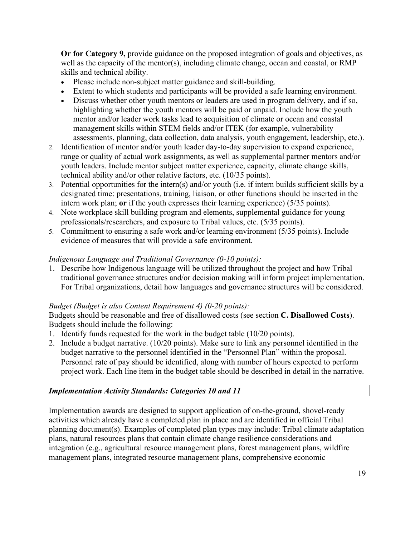well as the capacity of the mentor(s), including climate change, ocean and coastal, or RMP **Or for Category 9,** provide guidance on the proposed integration of goals and objectives, as skills and technical ability.

- Please include non-subject matter guidance and skill-building.
- Extent to which students and participants will be provided a safe learning environment.
- mentor and/or leader work tasks lead to acquisition of climate or ocean and coastal • Discuss whether other youth mentors or leaders are used in program delivery, and if so, highlighting whether the youth mentors will be paid or unpaid. Include how the youth management skills within STEM fields and/or ITEK (for example, vulnerability assessments, planning, data collection, data analysis, youth engagement, leadership, etc.).
- range or quality of actual work assignments, as well as supplemental partner mentors and/or youth leaders. Include mentor subject matter experience, capacity, climate change skills, 2. Identification of mentor and/or youth leader day-to-day supervision to expand experience, technical ability and/or other relative factors, etc. (10/35 points).
- 3. Potential opportunities for the intern(s) and/or youth (i.e. if intern builds sufficient skills by a designated time: presentations, training, liaison, or other functions should be inserted in the intern work plan; **or** if the youth expresses their learning experience) (5/35 points).
- 4. Note workplace skill building program and elements, supplemental guidance for young professionals/researchers, and exposure to Tribal values, etc. (5/35 points).
- 5. Commitment to ensuring a safe work and/or learning environment (5/35 points). Include evidence of measures that will provide a safe environment.

## *Indigenous Language and Traditional Governance (0-10 points):*

1. Describe how Indigenous language will be utilized throughout the project and how Tribal traditional governance structures and/or decision making will inform project implementation. For Tribal organizations, detail how languages and governance structures will be considered.

#### *Budget (Budget is also Content Requirement 4) (0-20 points):*

Budgets should be reasonable and free of disallowed costs (see section **C. Disallowed Costs**). Budgets should include the following:

- 1. Identify funds requested for the work in the budget table (10/20 points).
- project work. Each line item in the budget table should be described in detail in the narrative. 2. Include a budget narrative. (10/20 points). Make sure to link any personnel identified in the budget narrative to the personnel identified in the "Personnel Plan" within the proposal. Personnel rate of pay should be identified, along with number of hours expected to perform

## *Implementation Activity Standards: Categories 10 and 11*

 activities which already have a completed plan in place and are identified in official Tribal planning document(s). Examples of completed plan types may include: Tribal climate adaptation Implementation awards are designed to support application of on-the-ground, shovel-ready plans, natural resources plans that contain climate change resilience considerations and integration (e.g., agricultural resource management plans, forest management plans, wildfire management plans, integrated resource management plans, comprehensive economic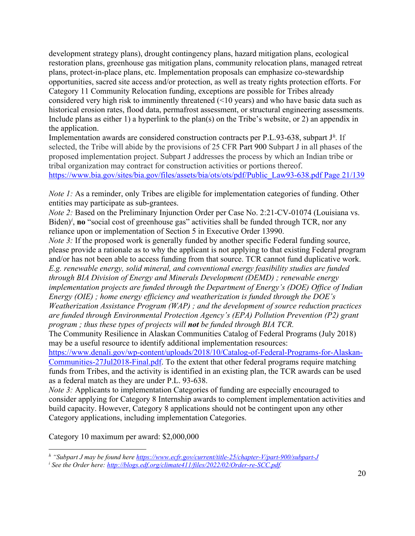development strategy plans), drought contingency plans, hazard mitigation plans, ecological restoration plans, greenhouse gas mitigation plans, community relocation plans, managed retreat plans, protect-in-place plans, etc. Implementation proposals can emphasize co-stewardship opportunities, sacred site access and/or protection, as well as treaty rights protection efforts. For Category 11 Community Relocation funding, exceptions are possible for Tribes already considered very high risk to imminently threatened (<10 years) and who have basic data such as historical erosion rates, flood data, permafrost assessment, or structural engineering assessments. Include plans as either 1) a hyperlink to the plan(s) on the Tribe's website, or 2) an appendix in the application.

 selected, the Tribe will abide by the provisions of 25 CFR Part 900 Subpart J in all phases of the Implementation awards are considered construction contracts per P.L.93-638, subpart J*[h](#page-19-0).* If proposed implementation project. Subpart J addresses the process by which an Indian tribe or tribal organization may contract for construction activities or portions thereof. [https://www.bia.gov/sites/bia.gov/files/assets/bia/ots/ots/pdf/Public\\_Law93-638.pdf Page 21/139](https://www.bia.gov/sites/bia.gov/files/assets/bia/ots/ots/pdf/Public_Law93-638.pdf%20Page%2021/139) 

*Note 1:* As a reminder, only Tribes are eligible for implementation categories of funding. Other entities may participate as sub-grantees.

*Note 2:* Based on the Preliminary Injunction Order per Case No. 2:21-CV-01074 (Louisiana vs. B[i](#page-19-1)den)<sup>*i*</sup>, no "social cost of greenhouse gas" activities shall be funded through TCR, nor any reliance upon or implementation of Section 5 in Executive Order 13990.

 *through BIA Division of Energy and Minerals Development (DEMD) ; renewable energy program ; thus these types of projects will not be funded through BIA TCR. Note 3:* If the proposed work is generally funded by another specific Federal funding source, please provide a rationale as to why the applicant is not applying to that existing Federal program and/or has not been able to access funding from that source. TCR cannot fund duplicative work. *E.g. renewable energy, solid mineral, and conventional energy feasibility studies are funded implementation projects are funded through the Department of Energy's (DOE) Office of Indian Energy (OIE) ; home energy efficiency and weatherization is funded through the DOE's Weatherization Assistance Program (WAP) ; and the development of source reduction practices are funded through Environmental Protection Agency's (EPA) Pollution Prevention (P2) grant* 

The Community Resilience in Alaskan Communities Catalog of Federal Programs (July 2018) may be a useful resource to identify additional implementation resources:

[Communities-27Jul2018-Final.pdf.](https://www.denali.gov/wp-content/uploads/2018/10/Catalog-of-Federal-Programs-for-Alaskan-Communities-27Jul2018-Final.pdf) To the extent that other federal programs require matching as a federal match as they are under P.L. 93-638. [https://www.denali.gov/wp-content/uploads/2018/10/Catalog-of-Federal-Programs-for-Alaskan](https://www.denali.gov/wp-content/uploads/2018/10/Catalog-of-Federal-Programs-for-Alaskan-Communities-27Jul2018-Final.pdf)funds from Tribes, and the activity is identified in an existing plan, the TCR awards can be used

*Note 3:* Applicants to implementation Categories of funding are especially encouraged to consider applying for Category 8 Internship awards to complement implementation activities and build capacity. However, Category 8 applications should not be contingent upon any other Category applications, including implementation Categories.

Category 10 maximum per award: \$2,000,000

<sup>&</sup>lt;sup>h</sup> "Subpart J may be [found here](http://blogs.edf.org/climate411/files/2022/02/Order-re-SCC.pdf) <u>https://www.ecfr.gov/current/title-25/chapter-V/part-900/subpart-J</u><br><sup>i</sup> See the Order here: <u>http://blogs.edf.org/climate411/files/2022/02/Order-re-SCC.pdf</u>.

<span id="page-19-1"></span><span id="page-19-0"></span><sup>&</sup>lt;sup>*i*</sup> See the Order here: http://blogs.edf.org/climate411/files/2022/02/Order-re-SCC.pdf.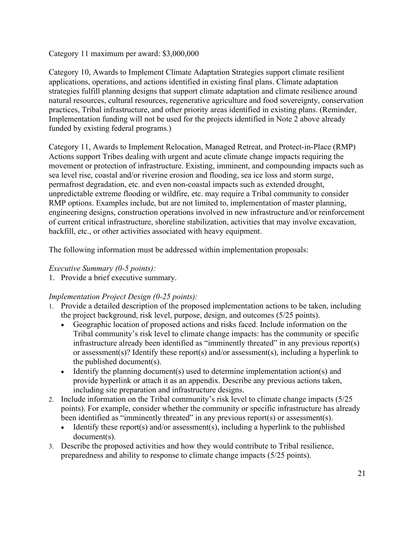Category 11 maximum per award: \$3,000,000

Category 10, Awards to Implement Climate Adaptation Strategies support climate resilient applications, operations, and actions identified in existing final plans. Climate adaptation strategies fulfill planning designs that support climate adaptation and climate resilience around natural resources, cultural resources, regenerative agriculture and food sovereignty, conservation practices, Tribal infrastructure, and other priority areas identified in existing plans. (Reminder, Implementation funding will not be used for the projects identified in Note 2 above already funded by existing federal programs.)

 sea level rise, coastal and/or riverine erosion and flooding, sea ice loss and storm surge, RMP options. Examples include, but are not limited to, implementation of master planning, Category 11, Awards to Implement Relocation, Managed Retreat, and Protect-in-Place (RMP) Actions support Tribes dealing with urgent and acute climate change impacts requiring the movement or protection of infrastructure. Existing, imminent, and compounding impacts such as permafrost degradation, etc. and even non-coastal impacts such as extended drought, unpredictable extreme flooding or wildfire, etc. may require a Tribal community to consider engineering designs, construction operations involved in new infrastructure and/or reinforcement of current critical infrastructure, shoreline stabilization, activities that may involve excavation, backfill, etc., or other activities associated with heavy equipment.

The following information must be addressed within implementation proposals:

## *Executive Summary (0-5 points):*

1. Provide a brief executive summary.

# *Implementation Project Design (0-25 points):*

- 1. Provide a detailed description of the proposed implementation actions to be taken, including the project background, risk level, purpose, design, and outcomes (5/25 points).
	- Geographic location of proposed actions and risks faced. Include information on the Tribal community's risk level to climate change impacts: has the community or specific infrastructure already been identified as "imminently threated" in any previous report(s) or assessment(s)? Identify these report(s) and/or assessment(s), including a hyperlink to the published document(s).
	- Identify the planning document(s) used to determine implementation action(s) and provide hyperlink or attach it as an appendix. Describe any previous actions taken, including site preparation and infrastructure designs.
- 2. Include information on the Tribal community's risk level to climate change impacts (5/25 been identified as "imminently threated" in any previous report(s) or assessment(s). points). For example, consider whether the community or specific infrastructure has already
	- Identify these report(s) and/or assessment(s), including a hyperlink to the published document(s).
- 3. Describe the proposed activities and how they would contribute to Tribal resilience, preparedness and ability to response to climate change impacts (5/25 points).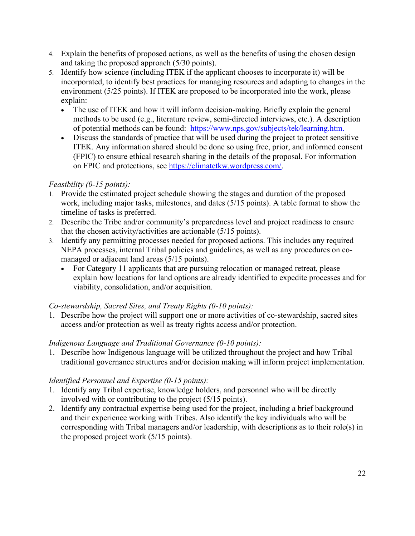- 4. Explain the benefits of proposed actions, as well as the benefits of using the chosen design and taking the proposed approach (5/30 points).
- 5. Identify how science (including ITEK if the applicant chooses to incorporate it) will be incorporated, to identify best practices for managing resources and adapting to changes in the environment (5/25 points). If ITEK are proposed to be incorporated into the work, please explain:
	- of potential methods can be found: https://www.nps.gov/subjects/tek/learning.htm. • The use of ITEK and how it will inform decision-making. Briefly explain the general methods to be used (e.g., literature review, semi-directed interviews, etc.). A description
	- Discuss the standards of practice that will be used during the project to protect sensitive ITEK. Any information shared should be done so using free, prior, and informed consent (FPIC) to ensure ethical research sharing in the details of the proposal. For information on FPIC and protections, see [https://climatetkw.wordpress.com/.](https://climatetkw.wordpress.com/)

## *Feasibility (0-15 points):*

- work, including major tasks, milestones, and dates (5/15 points). A table format to show the timeline of tasks is preferred. 1. Provide the estimated project schedule showing the stages and duration of the proposed
- 2. Describe the Tribe and/or community's preparedness level and project readiness to ensure that the chosen activity/activities are actionable (5/15 points).
- 3. Identify any permitting processes needed for proposed actions. This includes any required NEPA processes, internal Tribal policies and guidelines, as well as any procedures on comanaged or adjacent land areas (5/15 points).
	- explain how locations for land options are already identified to expedite processes and for • For Category 11 applicants that are pursuing relocation or managed retreat, please viability, consolidation, and/or acquisition.

## *Co-stewardship, Sacred Sites, and Treaty Rights (0-10 points):*

1. Describe how the project will support one or more activities of co-stewardship, sacred sites access and/or protection as well as treaty rights access and/or protection.

## *Indigenous Language and Traditional Governance (0-10 points):*

1. Describe how Indigenous language will be utilized throughout the project and how Tribal traditional governance structures and/or decision making will inform project implementation.

## *Identified Personnel and Expertise (0-15 points):*

- 1. Identify any Tribal expertise, knowledge holders, and personnel who will be directly involved with or contributing to the project (5/15 points).
- and their experience working with Tribes. Also identify the key individuals who will be 2. Identify any contractual expertise being used for the project, including a brief background corresponding with Tribal managers and/or leadership, with descriptions as to their role(s) in the proposed project work (5/15 points).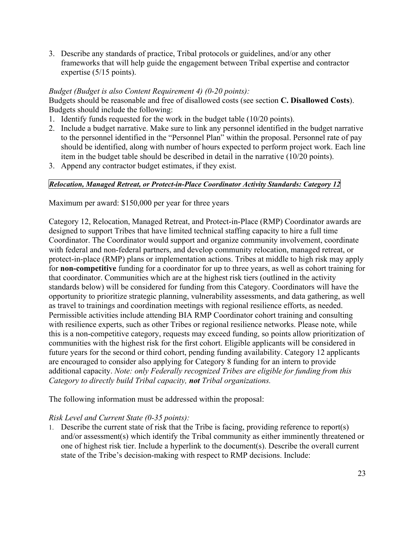3. Describe any standards of practice, Tribal protocols or guidelines, and/or any other frameworks that will help guide the engagement between Tribal expertise and contractor expertise (5/15 points).

#### *Budget (Budget is also Content Requirement 4) (0-20 points):*

Budgets should be reasonable and free of disallowed costs (see section **C. Disallowed Costs**). Budgets should include the following:

- 1. Identify funds requested for the work in the budget table (10/20 points).
- 2. Include a budget narrative. Make sure to link any personnel identified in the budget narrative to the personnel identified in the "Personnel Plan" within the proposal. Personnel rate of pay should be identified, along with number of hours expected to perform project work. Each line item in the budget table should be described in detail in the narrative (10/20 points).
- 3. Append any contractor budget estimates, if they exist.

#### *Relocation, Managed Retreat, or Protect-in-Place Coordinator Activity Standards: Category 12*

Maximum per award: \$150,000 per year for three years

 designed to support Tribes that have limited technical staffing capacity to hire a full time protect-in-place (RMP) plans or implementation actions. Tribes at middle to high risk may apply that coordinator. Communities which are at the highest risk tiers (outlined in the activity with resilience experts, such as other Tribes or regional resilience networks. Please note, while future years for the second or third cohort, pending funding availability. Category 12 applicants Category 12, Relocation, Managed Retreat, and Protect-in-Place (RMP) Coordinator awards are Coordinator. The Coordinator would support and organize community involvement, coordinate with federal and non-federal partners, and develop community relocation, managed retreat, or for **non-competitive** funding for a coordinator for up to three years, as well as cohort training for standards below) will be considered for funding from this Category. Coordinators will have the opportunity to prioritize strategic planning, vulnerability assessments, and data gathering, as well as travel to trainings and coordination meetings with regional resilience efforts, as needed. Permissible activities include attending BIA RMP Coordinator cohort training and consulting this is a non-competitive category, requests may exceed funding, so points allow prioritization of communities with the highest risk for the first cohort. Eligible applicants will be considered in are encouraged to consider also applying for Category 8 funding for an intern to provide additional capacity. *Note: only Federally recognized Tribes are eligible for funding from this Category to directly build Tribal capacity, not Tribal organizations.* 

The following information must be addressed within the proposal:

#### *Risk Level and Current State (0-35 points):*

1. Describe the current state of risk that the Tribe is facing, providing reference to report(s) and/or assessment(s) which identify the Tribal community as either imminently threatened or one of highest risk tier. Include a hyperlink to the document(s). Describe the overall current state of the Tribe's decision-making with respect to RMP decisions. Include: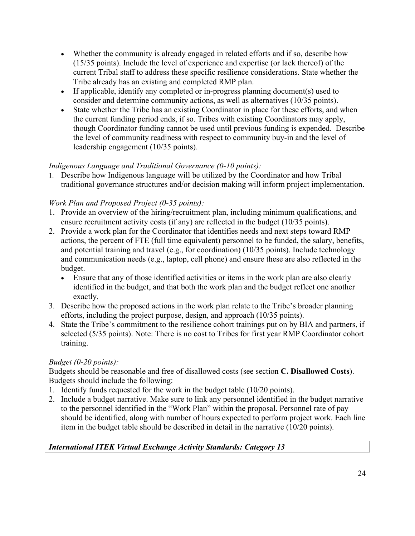- (15/35 points). Include the level of experience and expertise (or lack thereof) of the • Whether the community is already engaged in related efforts and if so, describe how current Tribal staff to address these specific resilience considerations. State whether the Tribe already has an existing and completed RMP plan.
- If applicable, identify any completed or in-progress planning document(s) used to consider and determine community actions, as well as alternatives (10/35 points).
- • State whether the Tribe has an existing Coordinator in place for these efforts, and when though Coordinator funding cannot be used until previous funding is expended. Describe the current funding period ends, if so. Tribes with existing Coordinators may apply, the level of community readiness with respect to community buy-in and the level of leadership engagement (10/35 points).

# *Indigenous Language and Traditional Governance (0-10 points):*

1. Describe how Indigenous language will be utilized by the Coordinator and how Tribal traditional governance structures and/or decision making will inform project implementation.

# *Work Plan and Proposed Project (0-35 points):*

- ensure recruitment activity costs (if any) are reflected in the budget (10/35 points). 1. Provide an overview of the hiring/recruitment plan, including minimum qualifications, and
- 2. Provide a work plan for the Coordinator that identifies needs and next steps toward RMP actions, the percent of FTE (full time equivalent) personnel to be funded, the salary, benefits, and potential training and travel (e.g., for coordination) (10/35 points). Include technology and communication needs (e.g., laptop, cell phone) and ensure these are also reflected in the budget.
	- Ensure that any of those identified activities or items in the work plan are also clearly identified in the budget, and that both the work plan and the budget reflect one another exactly.
- 3. Describe how the proposed actions in the work plan relate to the Tribe's broader planning efforts, including the project purpose, design, and approach (10/35 points).
- 4. State the Tribe's commitment to the resilience cohort trainings put on by BIA and partners, if selected (5/35 points). Note: There is no cost to Tribes for first year RMP Coordinator cohort training.

# *Budget (0-20 points):*

Budgets should be reasonable and free of disallowed costs (see section **C. Disallowed Costs**). Budgets should include the following:

- 1. Identify funds requested for the work in the budget table (10/20 points).
- 2. Include a budget narrative. Make sure to link any personnel identified in the budget narrative to the personnel identified in the "Work Plan" within the proposal. Personnel rate of pay should be identified, along with number of hours expected to perform project work. Each line item in the budget table should be described in detail in the narrative (10/20 points).

# *International ITEK Virtual Exchange Activity Standards: Category 13*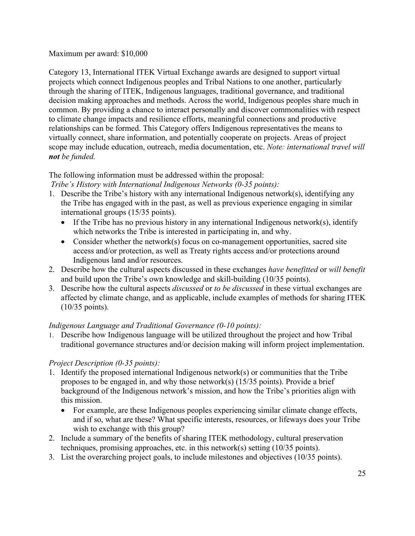#### Maximum per award: \$10,000

 relationships can be formed. This Category offers Indigenous representatives the means to Category 13, International ITEK Virtual Exchange awards are designed to support virtual projects which connect Indigenous peoples and Tribal Nations to one another, particularly through the sharing of ITEK, Indigenous languages, traditional governance, and traditional decision making approaches and methods. Across the world, Indigenous peoples share much in common. By providing a chance to interact personally and discover commonalities with respect to climate change impacts and resilience efforts, meaningful connections and productive virtually connect, share information, and potentially cooperate on projects. Areas of project scope may include education, outreach, media documentation, etc. *Note: international travel will not be funded.* 

## The following information must be addressed within the proposal:

 *Tribe's History with International Indigenous Networks (0-35 points):* 

- 1. Describe the Tribe's history with any international Indigenous network(s), identifying any the Tribe has engaged with in the past, as well as previous experience engaging in similar international groups (15/35 points).
	- If the Tribe has no previous history in any international Indigenous network(s), identify which networks the Tribe is interested in participating in, and why.
	- access and/or protection, as well as Treaty rights access and/or protections around • Consider whether the network(s) focus on co-management opportunities, sacred site Indigenous land and/or resources.
- 2. Describe how the cultural aspects discussed in these exchanges *have benefitted* or *will benefit*  and build upon the Tribe's own knowledge and skill-building (10/35 points).
- 3. Describe how the cultural aspects *discussed* or *to be discussed* in these virtual exchanges are affected by climate change, and as applicable, include examples of methods for sharing ITEK (10/35 points).

## *Indigenous Language and Traditional Governance (0-10 points):*

1. Describe how Indigenous language will be utilized throughout the project and how Tribal traditional governance structures and/or decision making will inform project implementation.

# *Project Description (0-35 points):*

- 1. Identify the proposed international Indigenous network(s) or communities that the Tribe proposes to be engaged in, and why those network(s) (15/35 points). Provide a brief background of the Indigenous network's mission, and how the Tribe's priorities align with this mission.
	- wish to exchange with this group? • For example, are these Indigenous peoples experiencing similar climate change effects, and if so, what are these? What specific interests, resources, or lifeways does your Tribe
- 2. Include a summary of the benefits of sharing ITEK methodology, cultural preservation techniques, promising approaches, etc. in this network(s) setting (10/35 points).
- 3. List the overarching project goals, to include milestones and objectives (10/35 points).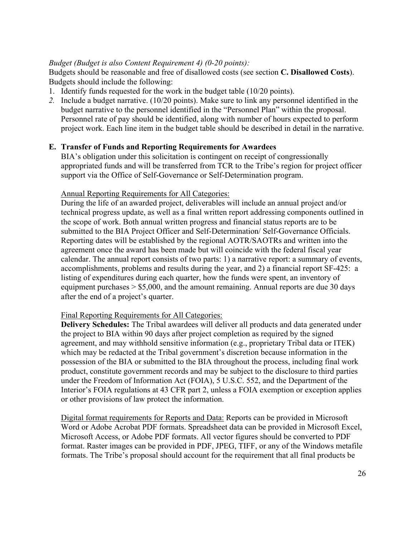## *Budget (Budget is also Content Requirement 4) (0-20 points):*

Budgets should be reasonable and free of disallowed costs (see section **C. Disallowed Costs**). Budgets should include the following:

- 1. Identify funds requested for the work in the budget table (10/20 points).
- project work. Each line item in the budget table should be described in detail in the narrative. *2.* Include a budget narrative. (10/20 points). Make sure to link any personnel identified in the budget narrative to the personnel identified in the "Personnel Plan" within the proposal. Personnel rate of pay should be identified, along with number of hours expected to perform

## **E. Transfer of Funds and Reporting Requirements for Awardees**

 appropriated funds and will be transferred from TCR to the Tribe's region for project officer support via the Office of Self-Governance or Self-Determination program.<br>Annual Reporting Requirements for All Categories: BIA's obligation under this solicitation is contingent on receipt of congressionally

 Reporting dates will be established by the regional AOTR/SAOTRs and written into the accomplishments, problems and results during the year, and 2) a financial report SF-425: a after the end of a project's quarter. During the life of an awarded project, deliverables will include an annual project and/or technical progress update, as well as a final written report addressing components outlined in the scope of work. Both annual written progress and financial status reports are to be submitted to the BIA Project Officer and Self-Determination/ Self-Governance Officials. agreement once the award has been made but will coincide with the federal fiscal year calendar. The annual report consists of two parts: 1) a narrative report: a summary of events, listing of expenditures during each quarter, how the funds were spent, an inventory of equipment purchases  $> $5,000$ , and the amount remaining. Annual reports are due 30 days

#### Final Reporting Requirements for All Categories:

**Delivery Schedules:** The Tribal awardees will deliver all products and data generated under the project to BIA within 90 days after project completion as required by the signed agreement, and may withhold sensitive information (e.g., proprietary Tribal data or ITEK) which may be redacted at the Tribal government's discretion because information in the possession of the BIA or submitted to the BIA throughout the process, including final work product, constitute government records and may be subject to the disclosure to third parties under the Freedom of Information Act (FOIA), 5 U.S.C. 552, and the Department of the Interior's FOIA regulations at 43 CFR part 2, unless a FOIA exemption or exception applies or other provisions of law protect the information.

Digital format requirements for Reports and Data: Reports can be provided in Microsoft Word or Adobe Acrobat PDF formats. Spreadsheet data can be provided in Microsoft Excel, Microsoft Access, or Adobe PDF formats. All vector figures should be converted to PDF format. Raster images can be provided in PDF, JPEG, TIFF, or any of the Windows metafile formats. The Tribe's proposal should account for the requirement that all final products be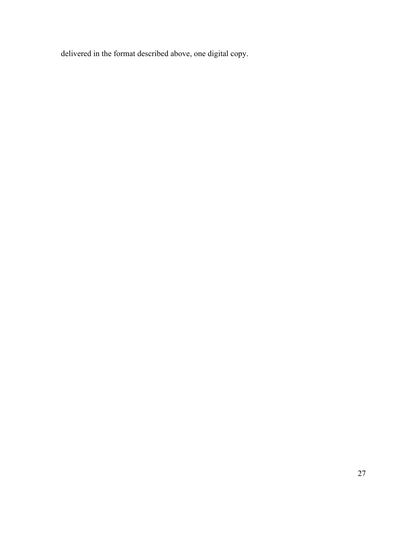delivered in the format described above, one digital copy.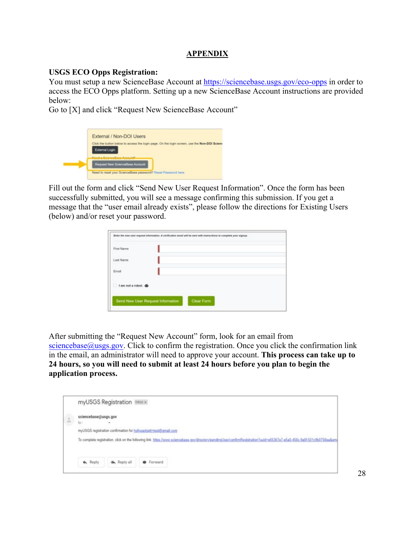## **APPENDIX**

#### **USGS ECO Opps Registration:**

You must setup a new ScienceBase Account at<https://sciencebase.usgs.gov/eco-opps>in order to access the ECO Opps platform. Setting up a new ScienceBase Account instructions are provided below:

Go to [X] and click "Request New ScienceBase Account"

| External / Non-DOI Users                                                                                                                          |
|---------------------------------------------------------------------------------------------------------------------------------------------------|
| Click the button below to access the login page. On the login screen, use the Non-DOI Sciena<br>External Login<br>North Advancement Corp. (2017). |
| Request New ScienceBase Account                                                                                                                   |
| Need to reset your ScienceBase password? Reset Password here.                                                                                     |

Fill out the form and click "Send New User Request Information". Once the form has been successfully submitted, you will see a message confirming this submission. If you get a message that the "user email already exists", please follow the directions for Existing Users (below) and/or reset your password.

| First Name                |  |  |
|---------------------------|--|--|
| <b>CALLS</b><br>Last Name |  |  |
| Email                     |  |  |
| I am not a robot.         |  |  |

[After submitting the "R](mailto:sciencebase@usgs.gov)equest New Account" form, look for an email from [sciencebase@usgs.gov](mailto:sciencebase@usgs.gov). Click to confirm the registration. Once you click the confirmation link in the email, an administrator will need to approve your account. **This process can take up to 24 hours, so you will need to submit at least 24 hours before you plan to begin the application process.** 

|                    | myUSGS Registration Inbox x                                                                                                                                                |
|--------------------|----------------------------------------------------------------------------------------------------------------------------------------------------------------------------|
| $\frac{1}{\alpha}$ | sciencebase@usgs.gov                                                                                                                                                       |
|                    | 10 <sub>1</sub>                                                                                                                                                            |
|                    | myUSGS registration confirmation for hollypadgett+test@gmail.com                                                                                                           |
|                    | To complete registration, click on the following link: https://www.sciencebase.gov/directory/pendingUser/confirmRegistration?uuld=e65367e7-e5a0-458c-9a01-501c5b0758ea&ema |
|                    | Forward<br><b>A</b> Reply<br><b>MA</b> Reply all                                                                                                                           |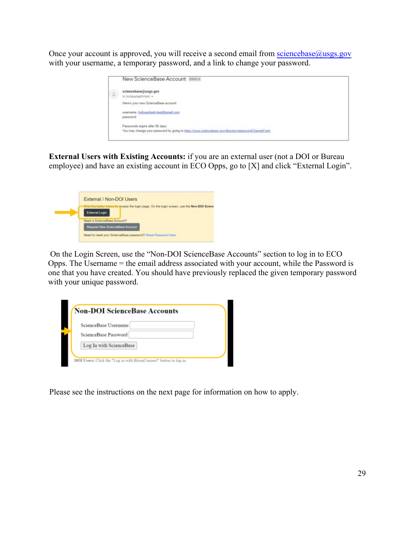Once your account is approved, you will receive a second email from sciencebase $@$ usgs.gov with your username, a temporary password, and a link to change your password.

| New ScienceBase Account Intox x                                                                   |
|---------------------------------------------------------------------------------------------------|
| sciencebase@usgs.gov<br>to hollypadgett+test +                                                    |
| Here's your new ScienceBase account:                                                              |
| usemame: holypadgett-test@gmail.com<br>password:                                                  |
| Passwords expire after 90 days.                                                                   |
| You may change your password by going to https://www.sciencebase.gov/directpry/passwordChangeForm |
|                                                                                                   |

**External Users with Existing Accounts:** if you are an external user (not a DOI or Bureau employee) and have an existing account in ECO Opps, go to [X] and click "External Login".

| External / Non-DOI Users                                                                                         |
|------------------------------------------------------------------------------------------------------------------|
| Inthe button below forecoss the login page. On the login screen, use the Non-DOI Scient<br><b>External Login</b> |
| Need a ScienceBase Account?<br>Request New ScienceBase Account                                                   |
| Need to reset your ScienceBase password? Reset Password here.                                                    |

 On the Login Screen, use the "Non-DOI ScienceBase Accounts" section to log in to ECO Opps. The Username = the email address associated with your account, while the Password is one that you have created. You should have previously replaced the given temporary password with your unique password.

| ScienceBase Usemame     |  |
|-------------------------|--|
| ScienceBase Password    |  |
| Log In with ScienceBase |  |

Please see the instructions on the next page for information on how to apply.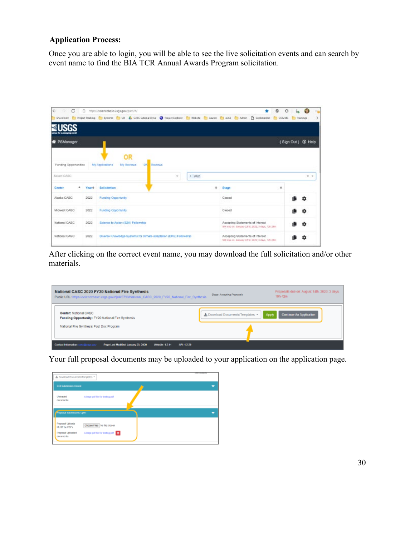# **Application Process:**

 Once you are able to login, you will be able to see the live solicitation events and can search by event name to find the BIA TCR Annual Awards Program solicitation.

| $\circ$<br>$\leftarrow$<br>- 12 |             | □ https://sdencebase.usgs.gow/psm/W/                                                                                                                  |                |          |                                                                                      | ۰<br>G |                   | 110 |
|---------------------------------|-------------|-------------------------------------------------------------------------------------------------------------------------------------------------------|----------------|----------|--------------------------------------------------------------------------------------|--------|-------------------|-----|
|                                 |             | Stundert C Reject Trading C Systems C UK & CASC External Drive C Project Explorer C Website C Lazare C 4263 C Admin C Bookmarkter C COMMS C Trainings |                |          |                                                                                      |        |                   |     |
|                                 |             |                                                                                                                                                       |                |          |                                                                                      |        |                   |     |
| <b>W</b> PSManager              |             |                                                                                                                                                       |                |          |                                                                                      |        | (Sign Out) @ Help |     |
|                                 |             | OR                                                                                                                                                    |                |          |                                                                                      |        |                   |     |
| Funding Opportunities           |             | My Applications<br>My Reviews<br>DN.                                                                                                                  | <b>Reviews</b> |          |                                                                                      |        |                   |     |
| Select CASC                     |             |                                                                                                                                                       | $\sim$         | $+ 2022$ |                                                                                      |        | $x - x$           |     |
| Center                          | ۰<br>Teart: | Solicitation                                                                                                                                          |                | ÷        | Stage                                                                                | ÷      |                   |     |
| Alaska CASC                     | 2022        | <b>Funding Opportunity</b>                                                                                                                            |                |          | Closed                                                                               |        |                   |     |
| Midwest CASC                    | 2022        | Funding Opportunity                                                                                                                                   |                |          | Closed                                                                               |        | ٠                 |     |
| National CASC                   | 2022        | Science to Action (\$2A) Fellowship                                                                                                                   |                |          | Accepting Statements of Interest<br>300 650 00: January 22nd, 2022; 3 days, 12n 23ns |        | n                 |     |
| National CASC                   | 2022        | Diverse Knowledge Systems for climate adaptation (DKS) Fellowship                                                                                     |                |          | Accepting Statements of Interest<br>50) das on January 22rd; 2822; 5 days, 12t 38m   |        | ŋ                 |     |

After clicking on the correct event name, you may download the full solicitation and/or other materials.

| National CASC 2020 FY20 National Fire Synthesis<br>Public URL: https://sciencebase.usgs.gov/rtp/#/5739/National_CASC_2020_FY20_National_Fire_Synthesis_ | Proposals due on: August 14th, 2020; 3 days.<br>Stege: Accepting Proposals<br>19h 42m |
|---------------------------------------------------------------------------------------------------------------------------------------------------------|---------------------------------------------------------------------------------------|
| Center: National CASC<br>Funding Opportunity: FY20 National Fire Synthesis<br>National Fire Synthesis Post Doc Program                                  | ▲ Download Documents/Templates<br>Continue An Application<br>Apply                    |
| Contact information: cancellenge.gov<br>Page Last Medified: January 23, 2020<br>MRI 12.28<br><b>Windle 1211</b>                                         |                                                                                       |

Your full proposal documents may be uploaded to your application on the application page.

| A Developd Documents/Templates                                       |                                                                    | <b><i>CHINE BLADEST</i></b> |
|----------------------------------------------------------------------|--------------------------------------------------------------------|-----------------------------|
| SOI Submission Closed                                                |                                                                    |                             |
| Uploaded<br>documents:                                               | A targe pot tile for testing pot                                   |                             |
| <b>Fingerus Submissions Open</b>                                     |                                                                    |                             |
| Proposal Uploads<br>MUST be PDFs<br>Proposal Uploaded<br>decembrity. | Choose Files No Tie (Rosen<br>A tage politic for testing political |                             |